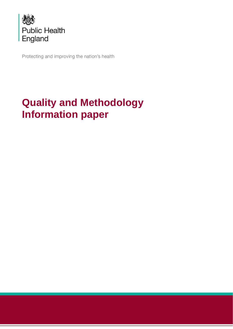

Protecting and improving the nation's health

# **Quality and Methodology Information paper**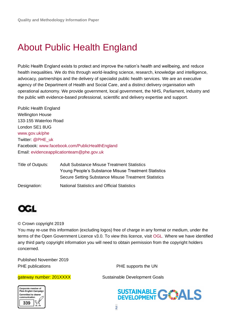# <span id="page-1-0"></span>About Public Health England

Public Health England exists to protect and improve the nation's health and wellbeing, and reduce health inequalities. We do this through world-leading science, research, knowledge and intelligence, advocacy, partnerships and the delivery of specialist public health services. We are an executive agency of the Department of Health and Social Care, and a distinct delivery organisation with operational autonomy. We provide government, local government, the NHS, Parliament, industry and the public with evidence-based professional, scientific and delivery expertise and support.

Public Health England Wellington House 133-155 Waterloo Road London SE1 8UG [www.gov.uk/phe](http://www.gov.uk/phe) Twitter: [@PHE\\_uk](https://twitter.com/PHE_uk) Facebook: [www.facebook.com/PublicHealthEngland](http://www.facebook.com/PublicHealthEngland) Email: [evidenceapplicationteam@phe.gov.uk](mailto:evidenceapplicationteam@phe.gov.uk)

| Title of Outputs: | <b>Adult Substance Misuse Treatment Statistics</b>   |  |  |
|-------------------|------------------------------------------------------|--|--|
|                   | Young People's Substance Misuse Treatment Statistics |  |  |
|                   | Secure Setting Substance Misuse Treatment Statistics |  |  |
| Designation:      | <b>National Statistics and Official Statistics</b>   |  |  |



#### © Crown copyright 2019

You may re-use this information (excluding logos) free of charge in any format or medium, under the terms of the Open Government Licence v3.0. To view this licence, visit [OGL.](https://www.nationalarchives.gov.uk/doc/open-government-licence/version/3/) Where we have identified any third party copyright information you will need to obtain permission from the copyright holders concerned.

Published November 2019 PHE publications **PHE** supports the UN



gateway number: 201XXXX Sustainable Development Goals

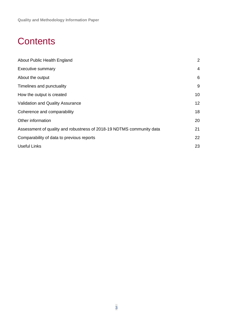# **Contents**

| About Public Health England                                          | 2               |
|----------------------------------------------------------------------|-----------------|
| <b>Executive summary</b>                                             | 4               |
| About the output                                                     | 6               |
| Timelines and punctuality                                            | 9               |
| How the output is created                                            | 10              |
| Validation and Quality Assurance                                     | 12 <sup>2</sup> |
| Coherence and comparability                                          | 18              |
| Other information                                                    | 20              |
| Assessment of quality and robustness of 2018-19 NDTMS community data |                 |
| Comparability of data to previous reports                            |                 |
| <b>Useful Links</b>                                                  | 23              |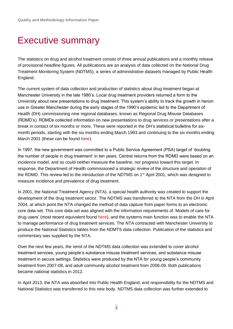## <span id="page-3-0"></span>Executive summary

The statistics on drug and alcohol treatment consist of three annual publications and a monthly release of provisional headline figures. All publications are an analysis of data collected on the National Drug Treatment Monitoring System (NDTMS), a series of administrative datasets managed by Public Health England.

The current system of data collection and production of statistics about drug treatment began at Manchester University in the late 1980's. Local drug treatment providers returned a form to the University about new presentations to drug treatment. This system's ability to track the growth in heroin use in Greater Manchester during the early stages of the 1990's epidemic led to the Department of Health (DH) commissioning nine regional databases, known as Regional Drug Misuse Databases (RDMD's). RDMDs collected information on new presentations to drug services or presentations after a break in contact of six months or more. These were reported in the DH's statistical bulletins for sixmonth periods, starting with the six months ending March 1993 and continuing to the six months ending March 2001 (these can be found [here\)](https://webarchive.nationalarchives.gov.uk/20120907233254/http:/www.dh.gov.uk/en/Publicationsandstatistics/Statistics/StatisticalWorkAreas/Statisticalpublichealth/DH_4015620).

In 1997, the new government was committed to a Public Service Agreement (PSA) target of 'doubling the number of people in drug treatment' in ten years. Central returns from the RDMD were based on an incidence model, and so could neither measure the baseline, nor progress toward this target. In response, the Department of Health commissioned a strategic review of the structure and operation of the RDMD. This review led to the introduction of the NDTMS on 1<sup>st</sup> April 2001, which was designed to measure incidence and prevalence of drug treatment.

In 2001, the National Treatment Agency (NTA), a special health authority was created to support the development of the drug treatment sector. The NDTMS was transferred to the NTA from the DH in April 2004, at which point the NTA changed the method of data capture from paper forms to an electronic core data-set. This core data-set was aligned with the information requirements of 'Models of care for drug users' (most recent equivalent found [here\)](https://www.gov.uk/government/publications/drug-misuse-and-dependence-uk-guidelines-on-clinical-management), and the systems main function was to enable the NTA to manage performance of drug treatment services. The NTA contracted with Manchester University to produce the National Statistics tables from the NDMTS data collection. Publication of the statistics and commentary was supplied by the NTA.

Over the next few years, the remit of the NDTMS data collection was extended to cover alcohol treatment services, young people's substance misuse treatment services, and substance misuse treatment in secure settings. Statistics were produced by the NTA for young people's community treatment from 2007-08, and adult community alcohol treatment from 2008-09. Both publications became national statistics in 2012.

In April 2013, the NTA was absorbed into Public Health England, and responsibility for the NDTMS and National Statistics was transferred to this new body. NDTMS data collection was further extended to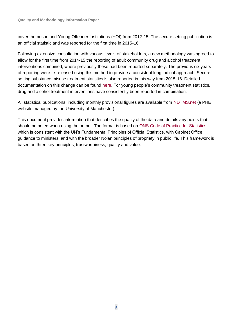cover the prison and Young Offender Institutions (YOI) from 2012-15. The secure setting publication is an official statistic and was reported for the first time in 2015-16.

Following extensive consultation with various levels of stakeholders, a new methodology was agreed to allow for the first time from 2014-15 the reporting of adult community drug and alcohol treatment interventions combined, where previously these had been reported separately. The previous six years of reporting were re-released using this method to provide a consistent longitudinal approach. Secure setting substance misuse treatment statistics is also reported in this way from 2015-16. Detailed documentation on this change can be found [here.](https://www.ndtms.net/CAS/Consultations) For young people's community treatment statistics, drug and alcohol treatment interventions have consistently been reported in combination.

All statistical publications, including monthly provisional figures are available from [NDTMS.net \(](https://www.ndtms.net/)a PHE website managed by the University of Manchester).

This document provides information that describes the quality of the data and details any points that should be noted when using the output. The format is based on [ONS Code of Practice for Statistics,](https://www.statisticsauthority.gov.uk/code-of-practice/) which is consistent with the UN's Fundamental Principles of Official Statistics, with Cabinet Office guidance to ministers, and with the broader Nolan principles of propriety in public life. This framework is based on three key principles; trustworthiness, quality and value.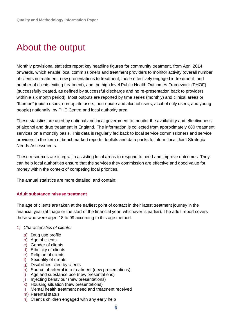# <span id="page-5-0"></span>About the output

Monthly provisional statistics report key headline figures for community treatment, from April 2014 onwards, which enable local commissioners and treatment providers to monitor activity (overall number of clients in treatment, new presentations to treatment, those effectively engaged in treatment, and number of clients exiting treatment), and the high level Public Health Outcomes Framework (PHOF) (successfully treated, as defined by successful discharge and no re-presentation back to providers within a six month period). Most outputs are reported by time series (monthly) and clinical areas or "themes" (opiate users, non-opiate users, non-opiate and alcohol users, alcohol only users, and young people) nationally, by PHE Centre and local authority area.

These statistics are used by national and local government to monitor the availability and effectiveness of alcohol and drug treatment in England. The information is collected from approximately 680 treatment services on a monthly basis. This data is regularly fed back to local service commissioners and service providers in the form of benchmarked reports, toolkits and data packs to inform local Joint Strategic Needs Assessments.

These resources are integral in assisting local areas to respond to need and improve outcomes. They can help local authorities ensure that the services they commission are effective and good value for money within the context of competing local priorities.

The annual statistics are more detailed, and contain:

#### **Adult substance misuse treatment**

The age of clients are taken at the earliest point of contact in their latest treatment journey in the financial year (at triage or the start of the financial year, whichever is earlier). The adult report covers those who were aged 18 to 99 according to this age method.

- *1) Characteristics of clients:*
	- a) Drug use profile
	- b) Age of clients
	- c) Gender of clients
	- d) Ethnicity of clients
	- e) Religion of clients
	- f) Sexuality of clients
	- g) Disabilities cited by clients
	- h) Source of referral into treatment (new presentations)
	- i) Age and substance use (new presentations)
	- j) Injecting behaviour (new presentations)
	- k) Housing situation (new presentations)
	- l) Mental health treatment need and treatment received
	- m) Parental status
	- n) Client's children engaged with any early help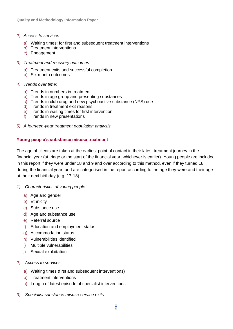- *2) Access to services:*
	- a) Waiting times: for first and subsequent treatment interventions
	- b) Treatment interventions
	- c) Engagement
- *3) Treatment and recovery outcomes:*
	- a) Treatment exits and successful completion
	- b) Six month outcomes
- *4) Trends over time:* 
	- a) Trends in numbers in treatment
	- b) Trends in age group and presenting substances
	- c) Trends in club drug and new psychoactive substance (NPS) use
	- d) Trends in treatment exit reasons
	- e) Trends in waiting times for first intervention
	- f) Trends in new presentations
- *5) A fourteen-year treatment population analysis*

#### **Young people's substance misuse treatment**

The age of clients are taken at the earliest point of contact in their latest treatment journey in the financial year (at triage or the start of the financial year, whichever is earlier). Young people are included in this report if they were under 18 and 9 and over according to this method, even if they turned 18 during the financial year, and are categorised in the report according to the age they were and their age at their next birthday (e.g. 17-18).

- *1) Characteristics of young people:*
	- a) Age and gender
	- b) Ethnicity
	- c) Substance use
	- d) Age and substance use
	- e) Referral source
	- f) Education and employment status
	- g) Accommodation status
	- h) Vulnerabilities identified
	- i) Multiple vulnerabilities
	- j) Sexual exploitation
- *2) Access to services:*
	- a) Waiting times (first and subsequent interventions)
	- b) Treatment interventions
	- c) Length of latest episode of specialist interventions
- *3) Specialist substance misuse service exits:*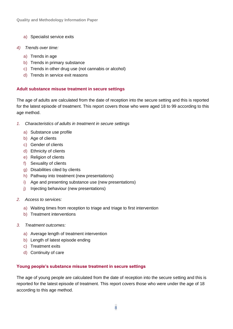- a) Specialist service exits
- *4) Trends over time:*
	- a) Trends in age
	- b) Trends in primary substance
	- c) Trends in other drug use (not cannabis or alcohol)
	- d) Trends in service exit reasons

#### **Adult substance misuse treatment in secure settings**

The age of adults are calculated from the date of reception into the secure setting and this is reported for the latest episode of treatment. This report covers those who were aged 18 to 99 according to this age method.

- *1. Characteristics of adults in treatment in secure settings*
	- a) Substance use profile
	- b) Age of clients
	- c) Gender of clients
	- d) Ethnicity of clients
	- e) Religion of clients
	- f) Sexuality of clients
	- g) Disabilities cited by clients
	- h) Pathway into treatment (new presentations)
	- i) Age and presenting substance use (new presentations)
	- j) Injecting behaviour (new presentations)
- *2. Access to services:*
	- a) Waiting times from reception to triage and triage to first intervention
	- b) Treatment interventions
- *3. Treatment outcomes:*
	- a) Average length of treatment intervention
	- b) Length of latest episode ending
	- c) Treatment exits
	- d) Continuity of care

#### **Young people's substance misuse treatment in secure settings**

The age of young people are calculated from the date of reception into the secure setting and this is reported for the latest episode of treatment. This report covers those who were under the age of 18 according to this age method.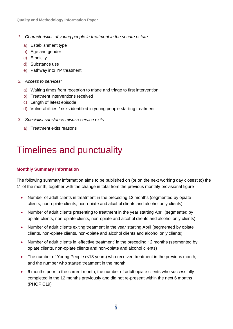- *1. Characteristics of young people in treatment in the secure estate*
	- a) Establishment type
	- b) Age and gender
	- c) Ethnicity
	- d) Substance use
	- e) Pathway into YP treatment
- *2. Access to services:*
	- a) Waiting times from reception to triage and triage to first intervention
	- b) Treatment interventions received
	- c) Length of latest episode
	- d) Vulnerabilities / risks identified in young people starting treatment
- *3. Specialist substance misuse service exits:*
	- a) Treatment exits reasons

# <span id="page-8-0"></span>Timelines and punctuality

## **Monthly Summary Information**

The following summary information aims to be published on (or on the next working day closest to) the 1<sup>st</sup> of the month, together with the change in total from the previous monthly provisional figure

- Number of adult clients in treatment in the preceding 12 months (segmented by opiate clients, non-opiate clients, non-opiate and alcohol clients and alcohol only clients)
- Number of adult clients presenting to treatment in the year starting April (segmented by opiate clients, non-opiate clients, non-opiate and alcohol clients and alcohol only clients)
- Number of adult clients exiting treatment in the year starting April (segmented by opiate clients, non-opiate clients, non-opiate and alcohol clients and alcohol only clients)
- Number of adult clients in 'effective treatment' in the preceding 12 months (segmented by opiate clients, non-opiate clients and non-opiate and alcohol clients)
- The number of Young People (<18 years) who received treatment in the previous month, and the number who started treatment in the month.
- 6 months prior to the current month, the number of adult opiate clients who successfully completed in the 12 months previously and did not re-present within the next 6 months (PHOF C19)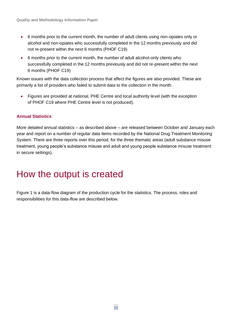- 6 months prior to the current month, the number of adult clients using non-opiates only or alcohol and non-opiates who successfully completed in the 12 months previously and did not re-present within the next 6 months (PHOF C19)
- 6 months prior to the current month, the number of adult alcohol-only clients who successfully completed in the 12 months previously and did not re-present within the next 6 months (PHOF C19)

Known issues with the data collection process that affect the figures are also provided. These are primarily a list of providers who failed to submit data to the collection in the month.

• Figures are provided at national, PHE Centre and local authority level (with the exception of PHOF C19 where PHE Centre level is not produced).

## **Annual Statistics**

More detailed annual statistics – as described above – are released between October and January each year and report on a number of regular data items recorded by the National Drug Treatment Monitoring System. There are three reports over this period, for the three thematic areas (adult substance misuse treatment, young people's substance misuse and adult and young people substance misuse treatment in secure settings).

## <span id="page-9-0"></span>How the output is created

Figure 1 is a data-flow diagram of the production cycle for the statistics. The process, roles and responsibilities for this data-flow are described below.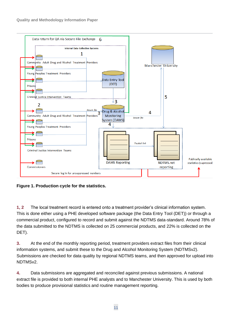

**Figure 1. Production cycle for the statistics.**

**1, 2** The local treatment record is entered onto a treatment provider's clinical information system. This is done either using a PHE developed software package (the Data Entry Tool (DET)) or through a commercial product, configured to record and submit against the NDTMS data-standard. Around 78% of the data submitted to the NDTMS is collected on 25 commercial products, and 22% is collected on the DET).

**3.** At the end of the monthly reporting period, treatment providers extract files from their clinical information systems, and submit these to the Drug and Alcohol Monitoring System (NDTMSv2). Submissions are checked for data quality by regional NDTMS teams, and then approved for upload into NDTMSv2.

**4.** Data submissions are aggregated and reconciled against previous submissions. A national extract file is provided to both internal PHE analysts and to Manchester University. This is used by both bodies to produce provisional statistics and routine management reporting.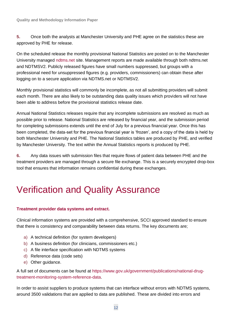**5.** Once both the analysts at Manchester University and PHE agree on the statistics these are approved by PHE for release.

On the scheduled release the monthly provisional National Statistics are posted on to the Manchester University managed [ndtms.net](https://www.ndtms.net/) site. Management reports are made available through both ndtms.net and NDTMSV2. Publicly released figures have small numbers suppressed, but groups with a professional need for unsuppressed figures (e.g. providers, commissioners) can obtain these after logging on to a secure application via NDTMS.net or NDTMSV2.

Monthly provisional statistics will commonly be incomplete, as not all submitting providers will submit each month. There are also likely to be outstanding data quality issues which providers will not have been able to address before the provisional statistics release date.

Annual National Statistics releases require that any incomplete submissions are resolved as much as possible prior to release. National Statistics are released by financial year, and the submission period for completing submissions extends until the end of July for a previous financial year. Once this has been completed, the data-set for the previous financial year is 'frozen', and a copy of the data is held by both Manchester University and PHE. The National Statistics tables are produced by PHE, and verified by Manchester University. The text within the Annual Statistics reports is produced by PHE.

**6.** Any data issues with submission files that require flows of patient data between PHE and the treatment providers are managed through a secure file exchange. This is a securely encrypted drop-box tool that ensures that information remains confidential during these exchanges.

# <span id="page-11-0"></span>Verification and Quality Assurance

## **Treatment provider data systems and extract.**

Clinical information systems are provided with a comprehensive, SCCI approved standard to ensure that there is consistency and comparability between data returns. The key documents are;

- a) A technical definition (for system developers)
- b) A business definition (for clinicians, commissioners etc.)
- c) A file interface specification with NDTMS systems
- d) Reference data (code sets)
- e) Other guidance.

A full set of documents can be found at [https://www.gov.uk/government/publications/national-drug](https://www.gov.uk/government/publications/national-drug-treatment-monitoring-system-reference-data)[treatment-monitoring-system-reference-data.](https://www.gov.uk/government/publications/national-drug-treatment-monitoring-system-reference-data)

In order to assist suppliers to produce systems that can interface without errors with NDTMS systems, around 3500 validations that are applied to data are published. These are divided into errors and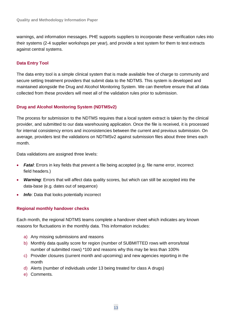warnings, and information messages. PHE supports suppliers to incorporate these verification rules into their systems (2-4 supplier workshops per year), and provide a test system for them to test extracts against central systems.

#### **Data Entry Tool**

The data entry tool is a simple clinical system that is made available free of charge to community and secure setting treatment providers that submit data to the NDTMS. This system is developed and maintained alongside the Drug and Alcohol Monitoring System. We can therefore ensure that all data collected from these providers will meet all of the validation rules prior to submission.

#### **Drug and Alcohol Monitoring System (NDTMSv2)**

The process for submission to the NDTMS requires that a local system extract is taken by the clinical provider, and submitted to our data warehousing application. Once the file is received, it is processed for internal consistency errors and inconsistencies between the current and previous submission. On average, providers test the validations on NDTMSv2 against submission files about three times each month.

Data validations are assigned three levels:

- *Fatal*: Errors in key fields that prevent a file being accepted (e.g. file name error, incorrect field headers.)
- *Warning*: Errors that will affect data quality scores, but which can still be accepted into the data-base (e.g. dates out of sequence)
- *Info*: Data that looks potentially incorrect

#### **Regional monthly handover checks**

Each month, the regional NDTMS teams complete a handover sheet which indicates any known reasons for fluctuations in the monthly data. This information includes:

- a) Any missing submissions and reasons
- b) Monthly data quality score for region (number of SUBMITTED rows with errors/total number of submitted rows) \*100 and reasons why this may be less than 100%
- c) Provider closures (current month and upcoming) and new agencies reporting in the month
- d) Alerts (number of individuals under 13 being treated for class A drugs)
- e) Comments.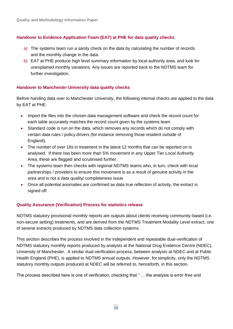#### **Handover to Evidence Application Team (EAT) at PHE for data quality checks**

- a) The systems team run a sanity check on the data by calculating the number of records and the monthly change in the data.
- b) EAT at PHE produce high level summary information by local authority area, and look for unexplained monthly variations. Any issues are reported back to the NDTMS team for further investigation.

#### **Handover to Manchester University data quality checks**

Before handing data over to Manchester University, the following internal checks are applied to the data by EAT at PHE:

- Import the files into the chosen data management software and check the record count for each table accurately matches the record count given by the systems team
- Standard code is run on the data, which removes any records which do not comply with certain data rules / policy drivers (for instance removing those resident outside of England).
- The number of over 18s in treatment in the latest 12 months that can be reported on is analysed. If there has been more than 5% movement in any Upper Tier Local Authority Area, these are flagged and scrutinised further.
- The systems team then checks with regional NDTMS teams who, in turn, check with local partnerships / providers to ensure this movement is as a result of genuine activity in the area and is not a data quality/ completeness issue
- Once all potential anomalies are confirmed as data true reflection of activity, the extract is signed off.

#### **Quality Assurance (Verification) Process for statistics release**

NDTMS statutory provisional monthly reports are outputs about clients receiving community-based (i.e. non-secure setting) treatments, and are derived from the NDTMS Treatment Modality Level extract, one of several extracts produced by NDTMS data collection systems.

This section describes the process involved in the independent and repeatable dual-verification of NDTMS statutory monthly reports produced by analysts at the National Drug Evidence Centre (NDEC), University of Manchester. A similar dual-verification process, between analysts at NDEC and at Public Health England (PHE), is applied to NDTMS annual outputs. However, for simplicity, only the NDTMS statutory monthly outputs produced at NDEC will be referred to, henceforth, in this section.

The process described here is one of verification, checking that " … the analysis is error-free and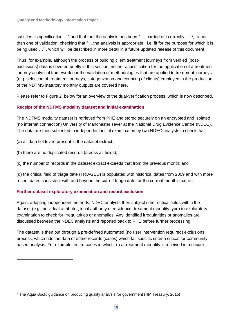satisfies its specification ..." and that that the analysis has been " ... carried out correctly ..."<sup>1</sup>, rather than one of validation, checking that " …the analysis is appropriate, i.e. fit for the purpose for which it is being used …" , which will be described in more detail in a future updated release of this document.

Thus, for example, although the process of building client treatment journeys from verified (postexclusions) data is covered briefly in this section, neither a justification for the application of a treatmentjourney analytical framework nor the validation of methodologies that are applied to treatment journeys (e.g. selection of treatment journeys, categorization and counting of clients) employed in the production of the NDTMS statutory monthly outputs are covered here.

Please refer to Figure 2. below for an overview of the dual-verification process, which is now described.

## **Receipt of the NDTMS modality dataset and initial examination**

The NDTMS modality dataset is retrieved from PHE and stored securely on an encrypted and isolated (no internet connection) University of Manchester sever at the National Drug Evidence Centre (NDEC). The data are then subjected to independent initial examination by two NDEC analysts to check that:

(a) all data fields are present in the dataset extract;

(b) there are no duplicated records (across all fields);

(c) the number of records in the dataset extract exceeds that from the previous month; and

(d) the critical field of triage date (TRIAGED) is populated with historical dates from 2009 and with more recent dates consistent with and beyond the cut-off triage date for the current month's extract.

## **Further dataset exploratory examination and record exclusion**

Again, adopting independent methods, NDEC analysts then subject other critical fields within the dataset (e.g. individual attributor, local authority of residence, treatment modality type) to exploratory examination to check for irregularities or anomalies. Any identified irregularities or anomalies are discussed between the NDEC analysts and reported back to PHE before further processing.

The dataset is then put through a pre-defined automated (no user intervention required) exclusions process, which rids the data of entire records (cases) which fail specific criteria critical for communitybased analysis. For example, entire cases in which (i) a treatment modality is received in a secure-

<sup>1</sup> The Aqua Book: guidance on producing quality analysis for government (HM Treasury, 2015)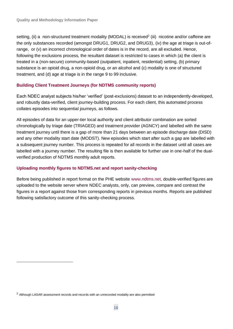setting, (ii) a non-structured treatment modality (MODAL) is received<sup>2</sup> (iii) nicotine and/or caffeine are the only substances recorded (amongst DRUG1, DRUG2, and DRUG3), (iv) the age at triage is out-ofrange, or (v) an incorrect chronological order of dates is in the record, are all excluded. Hence, following the exclusions process, the resultant dataset is restricted to cases in which (a) the client is treated in a (non-secure) community-based (outpatient, inpatient, residential) setting, (b) primary substance is an opioid drug, a non-opioid drug, or an alcohol and (c) modality is one of structured treatment, and (d) age at triage is in the range 9 to 99 inclusive.

## **Building Client Treatment Journeys (for NDTMS community reports)**

Each NDEC analyst subjects his/her 'verified' (post-exclusions) dataset to an independently-developed, and robustly data-verified, client journey-building process. For each client, this automated process collates episodes into sequential journeys, as follows.

All episodes of data for an upper-tier local authority and client attributor combination are sorted chronologically by triage date (TRIAGED) and treatment provider (AGNCY) and labelled with the same treatment journey until there is a gap of more than 21 days between an episode discharge date (DISD) and any other modality start date (MODST). New episodes which start after such a gap are labelled with a subsequent journey number. This process is repeated for all records in the dataset until all cases are labelled with a journey number. The resulting file is then available for further use in one-half of the dualverified production of NDTMS monthly adult reports.

## **Uploading monthly figures to NDTMS.net and report sanity-checking**

Before being published in report format on the PHE website [www.ndtms.net,](http://www.ndtms.net/) double-verified figures are uploaded to the website server where NDEC analysts, only, can preview, compare and contrast the figures in a report against those from corresponding reports in previous months. Reports are published following satisfactory outcome of this sanity-checking process.

<sup>&</sup>lt;sup>2</sup> Although LASAR assessment records and records with an unrecorded modality are also permitted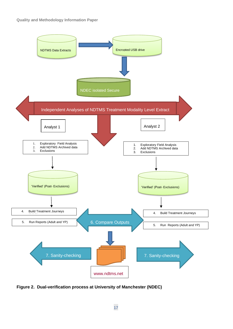

**Figure 2. Dual-verification process at University of Manchester (NDEC)**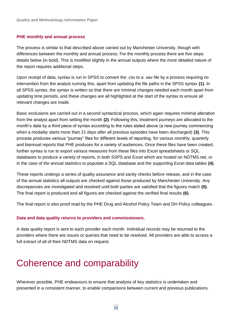#### **PHE monthly and annual process**

The process is similar to that described above carried out by Manchester University, though with differences between the monthly and annual process. For the monthly process there are five steps details below (in bold). This is modified slightly in the annual outputs where the more detailed nature of the report requires additional steps.

Upon receipt of data, syntax is run in SPSS to convert the .csv to a .sav file by a process requiring no intervention from the analyst running this, apart from updating the file paths in the SPSS syntax **(1)**. In all SPSS syntax, the syntax is written so that there are minimal changes needed each month apart from updating time periods, and these changes are all highlighted at the start of the syntax to ensure all relevant changes are made.

Basic exclusions are carried out in a second syntactical process, which again requires minimal alteration from the analyst apart from setting the month **(2)**. Following this, treatment journeys are allocated to the month's data by a third piece of syntax according to the rules stated above (a new journey commencing when a modality starts more than 21 days after all previous episodes have been discharged) **(3)**. This process produces various "journey" files for different levels of reporting, for various monthly, quarterly and biannual reports that PHE produces for a variety of audiences. Once these files have been created, further syntax is run to export various measures from these files into Excel spreadsheets or SQL databases to produce a variety of reports, in both SSPS and Excel which are hosted on NDTMS.net, or in the case of the annual statistics to populate a SQL database and the supporting Excel data tables **(4)**.

These reports undergo a series of quality assurance and sanity checks before release, and in the case of the annual statistics all outputs are checked against those produced by Manchester University. Any discrepancies are investigated and resolved until both parties are satisfied that the figures match **(5)**. The final report is produced and all figures are checked against the verified final results **(6)**.

The final report is also proof read by the PHE Drug and Alcohol Policy Team and DH Policy colleagues.

#### **Data and data quality returns to providers and commissioners.**

A data quality report is sent to each provider each month. Individual records may be returned to the providers where there are issues or queries that need to be resolved. All providers are able to access a full extract of all of their NDTMS data on request.

# <span id="page-17-0"></span>Coherence and comparability

Wherever possible, PHE endeavours to ensure that analysis of key statistics is undertaken and presented in a consistent manner, to enable comparisons between current and previous publications.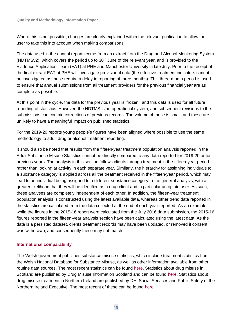Where this is not possible, changes are clearly explained within the relevant publication to allow the user to take this into account when making comparisons.

The data used in the annual reports come from an extract from the Drug and Alcohol Monitoring System (NDTMSv2), which covers the period up to  $30<sup>th</sup>$  June of the relevant year, and is provided to the Evidence Application Team (EAT) at PHE and Manchester University in late July. Prior to the receipt of the final extract EAT at PHE will investigate provisional data (the effective treatment indicators cannot be investigated as these require a delay in reporting of three months). This three-month period is used to ensure that annual submissions from all treatment providers for the previous financial year are as complete as possible.

At this point in the cycle, the data for the previous year is 'frozen', and this data is used for all future reporting of statistics. However, the NDTMS is an operational system, and subsequent revisions to the submissions can contain corrections of previous records. The volume of these is small, and these are unlikely to have a meaningful impact on published statistics.

For the 2019-20 reports young people's figures have been aligned where possible to use the same methodology to adult drug or alcohol treatment reporting.

It should also be noted that results from the fifteen-year treatment population analysis reported in the Adult Substance Misuse Statistics cannot be directly compared to any data reported for 2019-20 or for previous years. The analysis in this section follows clients through treatment in the fifteen-year period rather than looking at activity in each separate year. Similarly, the hierarchy for assigning individuals to a substance category is applied across all the treatment received in the fifteen-year period, which may lead to an individual being assigned to a different substance category to the general analysis, with a greater likelihood that they will be identified as a drug client and in particular an opiate user. As such, these analyses are completely independent of each other. In addition, the fifteen-year treatment population analysis is constructed using the latest available data, whereas other trend data reported in the statistics are calculated from the data collected at the end of each year reported. As an example, while the figures in the 2015-16 report were calculated from the July 2016 data submission, the 2015-16 figures reported in the fifteen-year analysis section have been calculated using the latest data. As the data is a persisted dataset, clients treatment records may have been updated, or removed if consent was withdrawn, and consequently these may not match.

## **International comparability**

The Welsh government publishes substance misuse statistics, which include treatment statistics from the Welsh National Database for Substance Misuse, as well as other information available from other routine data sources. The most recent statistics can be found [here.](http://www.infoandstats.wales.nhs.uk/page.cfm?pid=41017&orgid=869) Statistics about drug misuse in Scotland are published by Drug Misuse Information Scotland and can be found [here.](http://www.drugmisuse.isdscotland.org/publications/abstracts/ISDbull.htm) Statistics about drug misuse treatment in Northern Ireland are published by DH, Social Services and Public Safety of the Northern Ireland Executive. The most recent of these can be found [here.](https://www.health-ni.gov.uk/articles/drugs-statistics)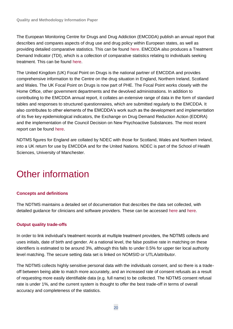The European Monitoring Centre for Drugs and Drug Addiction (EMCDDA) publish an annual report that describes and compares aspects of drug use and drug policy within European states, as well as providing detailed comparative statistics. This can be found [here.](http://www.emcdda.europa.eu/publications/annual-report/2012) EMCDDA also produces a Treatment Demand Indicator (TDI), which is a collection of comparative statistics relating to individuals seeking treatment. This can be found [here.](http://www.emcdda.europa.eu/stats12#display:/stats12/tditab7a)

The United Kingdom (UK) Focal Point on Drugs is the national partner of EMCDDA and provides comprehensive information to the Centre on the drug situation in England, Northern Ireland, Scotland and Wales. The UK Focal Point on Drugs is now part of PHE. The Focal Point works closely with the Home Office, other government departments and the devolved administrations. In addition to contributing to the EMCDDA annual report, it collates an extensive range of data in the form of standard tables and responses to structured questionnaires, which are submitted regularly to the EMCDDA. It also contributes to other elements of the EMCDDA's work such as the development and implementation of its five key epidemiological indicators, the Exchange on Drug Demand Reduction Action (EDDRA) and the implementation of the Council Decision on New Psychoactive Substances. The most recent report can be found [here.](http://www.cph.org.uk/showPublication.aspx?pubid=767)

NDTMS figures for England are collated by NDEC with those for Scotland, Wales and Northern Ireland, into a UK return for use by EMCDDA and for the United Nations. NDEC is part of the School of Health Sciences, University of Manchester.

# <span id="page-19-0"></span>Other information

## **Concepts and definitions**

The NDTMS maintains a detailed set of documentation that describes the data set collected, with detailed guidance for clinicians and software providers. These can be accessed [here](https://www.gov.uk/government/publications/national-drug-treatment-monitoring-system-technical-definitions) and [here.](https://www.gov.uk/government/publications/business-definitions-for-adult-drug-and-alcohol-misuse-treatment-providers)

## **Output quality trade-offs**

In order to link individual's treatment records at multiple treatment providers, the NDTMS collects and uses initials, date of birth and gender. At a national level, the false positive rate in matching on these identifiers is estimated to be around 3%, although this falls to under 0.5% for upper tier local authority level matching. The secure setting data set is linked on NOMSID or UTLA/attributor.

The NDTMS collects highly sensitive personal data with the individuals consent, and so there is a tradeoff between being able to match more accurately, and an increased rate of consent refusals as a result of requesting more easily identifiable data (e.g. full name) to be collected. The NDTMS consent refusal rate is under 1%, and the current system is thought to offer the best trade-off in terms of overall accuracy and completeness of the statistics.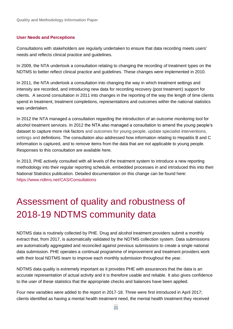#### **User Needs and Perceptions**

Consultations with stakeholders are regularly undertaken to ensure that data recording meets users' needs and reflects clinical practice and guidelines.

In 2009, the NTA undertook a consultation relating to changing the recording of treatment types on the NDTMS to better reflect clinical practice and guidelines. These changes were implemented in 2010.

In 2011, the NTA undertook a consultation into changing the way in which treatment settings and intensity are recorded, and introducing new data for recording recovery (post treatment) support for clients. A second consultation in 2011 into changes in the reporting of the way the length of time clients spend in treatment, treatment completions, representations and outcomes within the national statistics was undertaken.

In 2012 the NTA managed a consultation regarding the introduction of an outcome monitoring tool for alcohol treatment services. In 2012 the NTA also managed a consultation to amend the young people's dataset to capture more risk factors and outcomes for young people, update specialist interventions, settings and definitions. The consultation also addressed how information relating to Hepatitis B and C information is captured, and to remove items from the data that are not applicable to young people. Responses to this consultation are available [here.](http://www.nta.nhs.uk/uploads/ypndtmswebsitepaperv2.pdf)

In 2013, PHE actively consulted with all levels of the treatment system to introduce a new reporting methodology into their regular reporting schedule, embedded processes in and introduced this into their National Statistics publication. Detailed documentation on this change can be found here: <https://www.ndtms.net/CAS/Consultations>

# <span id="page-20-0"></span>Assessment of quality and robustness of 2018-19 NDTMS community data

NDTMS data is routinely collected by PHE. Drug and alcohol treatment providers submit a monthly extract that, from 2017, is automatically validated by the NDTMS collection system. Data submissions are automatically aggregated and reconciled against previous submissions to create a single national data submission. PHE operates a continual programme of improvement and treatment providers work with their local NDTMS team to improve each monthly submission throughout the year.

NDTMS data quality is extremely important as it provides PHE with assurances that the data is an accurate representation of actual activity and it is therefore usable and reliable. It also gives confidence to the user of these statistics that the appropriate checks and balances have been applied.

Four new variables were added to the report in 2017-18. Three were first introduced in April 2017; clients identified as having a mental health treatment need, the mental health treatment they received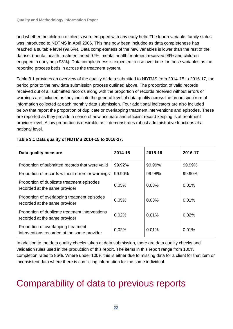and whether the children of clients were engaged with any early help. The fourth variable, family status, was introduced to NDTMS in April 2006. This has now been included as data completeness has reached a suitable level (99.6%). Data completeness of the new variables is lower than the rest of the dataset (mental health treatment need 97%, mental health treatment received 99% and children engaged in early help 93%). Data completeness is expected to rise over time for these variables as the reporting process beds in across the treatment system.

Table 3.1 provides an overview of the quality of data submitted to NDTMS from 2014-15 to 2016-17, the period prior to the new data submission process outlined above. The proportion of valid records received out of all submitted records along with the proportion of records received without errors or warnings are included as they indicate the general level of data quality across the broad spectrum of information collected at each monthly data submission. Four additional indicators are also included below that report the proportion of duplicate or overlapping treatment interventions and episodes. These are reported as they provide a sense of how accurate and efficient record keeping is at treatment provider level. A low proportion is desirable as it demonstrates robust administrative functions at a national level.

| Data quality measure                                                               | 2014-15 | 2015-16 | 2016-17 |
|------------------------------------------------------------------------------------|---------|---------|---------|
| Proportion of submitted records that were valid                                    | 99.92%  | 99.99%  | 99.99%  |
| Proportion of records without errors or warnings                                   | 99.90%  | 99.98%  | 99.90%  |
| Proportion of duplicate treatment episodes<br>recorded at the same provider        | 0.05%   | 0.03%   | 0.01%   |
| Proportion of overlapping treatment episodes<br>recorded at the same provider      | 0.05%   | 0.03%   | 0.01%   |
| Proportion of duplicate treatment interventions<br>recorded at the same provider   | 0.02%   | 0.01%   | 0.02%   |
| Proportion of overlapping treatment<br>interventions recorded at the same provider | 0.02%   | 0.01%   | 0.01%   |

## **Table 3.1 Data quality of NDTMS 2014-15 to 2016-17.**

In addition to the data quality checks taken at data submission, there are data quality checks and validation rules used in the production of this report. The items in this report range from 100% completion rates to 86%. Where under 100% this is either due to missing data for a client for that item or inconsistent data where there is conflicting information for the same individual.

# <span id="page-21-0"></span>Comparability of data to previous reports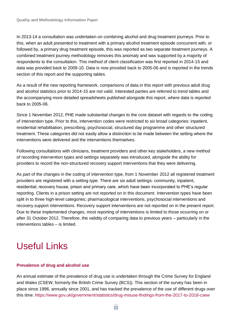In 2013-14 a consultation was undertaken on combining alcohol and drug treatment journeys. Prior to this, when an adult presented to treatment with a primary alcohol treatment episode concurrent with, or followed by, a primary drug treatment episode, this was reported as two separate treatment journeys. A combined treatment journey methodology removes this anomaly and was supported by a majority of respondents to the consultation. This method of client classification was first reported in 2014-15 and data was provided back to 2009-10. Data is now provided back to 2005-06 and is reported in the trends section of this report and the supporting tables.

As a result of the new reporting framework, comparisons of data in this report with previous adult drug and alcohol statistics prior to 2014-15 are not valid. Interested parties are referred to trend tables and the accompanying more detailed spreadsheets published alongside this report, where data is reported back to 2005-06.

Since 1 November 2012, PHE made substantial changes to the core dataset with regards to the coding of intervention type. Prior to this, intervention codes were restricted to six broad categories: inpatient, residential rehabilitation, prescribing, psychosocial, structured day programme and other structured treatment. These categories did not easily allow a distinction to be made between the setting where the interventions were delivered and the interventions themselves.

Following consultations with clinicians, treatment providers and other key stakeholders, a new method of recording intervention types and settings separately was introduced, alongside the ability for providers to record the non-structured recovery support interventions that they were delivering.

As part of the changes in the coding of intervention type, from 1 November 2012 all registered treatment providers are registered with a setting type. There are six adult settings: community, inpatient, residential, recovery house, prison and primary care, which have been incorporated to PHE's regular reporting. Clients in a prison setting are not reported on in this document. Intervention types have been split in to three high-level categories; pharmacological interventions, psychosocial interventions and recovery support interventions. Recovery support interventions are not reported on in the present report. Due to these implemented changes, most reporting of interventions is limited to those occurring on or after 31 October 2012. Therefore, the validity of comparing data to previous years – particularly in the interventions tables – is limited.

# <span id="page-22-0"></span>Useful Links

## **Prevalence of drug and alcohol use**

An annual estimate of the prevalence of drug use is undertaken through the Crime Survey for England and Wales (CSEW, formerly the British Crime Survey (BCS)). This section of the survey has been in place since 1996, annually since 2001, and has tracked the prevalence of the use of different drugs over this time.<https://www.gov.uk/government/statistics/drug-misuse-findings-from-the-2017-to-2018-csew>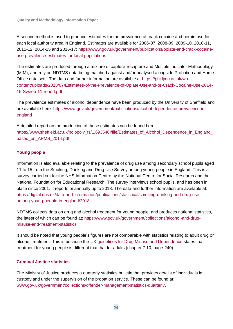A second method is used to produce estimates for the prevalence of crack cocaine and heroin use for each local authority area in England. Estimates are available for 2006-07, 2008-09, 2009-10, 2010-11, 2011-12, 2014-15 and 2016-17: [https://www.gov.uk/government/publications/opiate-and-crack-cocaine](https://www.gov.uk/government/publications/opiate-and-crack-cocaine-use-prevalence-estimates-for-local-populations)[use-prevalence-estimates-for-local-populations](https://www.gov.uk/government/publications/opiate-and-crack-cocaine-use-prevalence-estimates-for-local-populations)

The estimates are produced through a mixture of capture-recapture and Multiple Indicator Methodology (MIM), and rely on NDTMS data being matched against and/or analysed alongside Probation and Home Office data sets. The data and further information are available at [https://phi.ljmu.ac.uk/wp](https://phi.ljmu.ac.uk/wp-content/uploads/2018/07/Estimates-of-the-Prevalence-of-Opiate-Use-and-or-Crack-Cocaine-Use-2014-15-Sweep-11-report.pdf)[content/uploads/2018/07/Estimates-of-the-Prevalence-of-Opiate-Use-and-or-Crack-Cocaine-Use-2014-](https://phi.ljmu.ac.uk/wp-content/uploads/2018/07/Estimates-of-the-Prevalence-of-Opiate-Use-and-or-Crack-Cocaine-Use-2014-15-Sweep-11-report.pdf) [15-Sweep-11-report.pdf](https://phi.ljmu.ac.uk/wp-content/uploads/2018/07/Estimates-of-the-Prevalence-of-Opiate-Use-and-or-Crack-Cocaine-Use-2014-15-Sweep-11-report.pdf)

The prevalence estimates of alcohol dependence have been produced by the University of Sheffield and are available here: [https://www.gov.uk/government/publications/alcohol-dependence-prevalence-in](https://www.gov.uk/government/publications/alcohol-dependence-prevalence-in-england)[england](https://www.gov.uk/government/publications/alcohol-dependence-prevalence-in-england)

A detailed report on the production of these estimates can be found here: https://www.sheffield.ac.uk/polopoly\_fs/1.693546!/file/Estimates\_of\_Alcohol\_Dependence\_in\_England [based\\_on\\_APMS\\_2014.pdf](https://www.sheffield.ac.uk/polopoly_fs/1.693546!/file/Estimates_of_Alcohol_Dependence_in_England_based_on_APMS_2014.pdf)

## **Young people**

Information is also available relating to the prevalence of drug use among secondary school pupils aged 11 to 15 from the Smoking, Drinking and Drug Use Survey among young people in England. This is a survey carried out for the NHS Information Centre by the National Centre for Social Research and the National Foundation for Educational Research. The survey interviews school pupils, and has been in place since 2001. It reports bi-annually up to 2018. The data and further information are available at: [https://digital.nhs.uk/data-and-information/publications/statistical/smoking-drinking-and-drug-use](https://digital.nhs.uk/data-and-information/publications/statistical/smoking-drinking-and-drug-use-among-young-people-in-england/2018)[among-young-people-in-england/2018.](https://digital.nhs.uk/data-and-information/publications/statistical/smoking-drinking-and-drug-use-among-young-people-in-england/2018)

NDTMS collects data on drug and alcohol treatment for young people, and produces national statistics, the latest of which can be found at: [https://www.gov.uk/government/collections/alcohol-and-drug](https://www.gov.uk/government/collections/alcohol-and-drug-misuse-and-treatment-statistics)[misuse-and-treatment-statistics](https://www.gov.uk/government/collections/alcohol-and-drug-misuse-and-treatment-statistics)

It should be noted that young people's figures are not comparable with statistics relating to adult drug or alcohol treatment. This is because the [UK guidelines for Drug Misuse and Dependence](https://www.gov.uk/government/publications/drug-misuse-and-dependence-uk-guidelines-on-clinical-management) states that treatment for young people is different that that for adults (chapter 7.10, page 240).

## **Criminal Justice statistics**

The Ministry of Justice produces a quarterly statistics bulletin that provides details of individuals in custody and under the supervision of the probation service. These can be found at: [www.gov.uk/government/collections/offender-management-statistics-quarterly.](https://www.gov.uk/government/collections/offender-management-statistics-quarterly)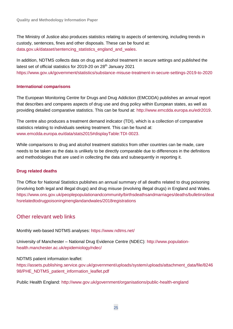The Ministry of Justice also produces statistics relating to aspects of sentencing, including trends in custody, sentences, fines and other disposals. These can be found at: [data.gov.uk/dataset/sentencing\\_statistics\\_england\\_and\\_wales.](http://data.gov.uk/dataset/sentencing_statistics_england_and_wales)

In addition, NDTMS collects data on drug and alcohol treatment in secure settings and published the latest set of official statistics for 2019-20 on 28<sup>th</sup> January 2021 <https://www.gov.uk/government/statistics/substance-misuse-treatment-in-secure-settings-2019-to-2020>

## **International comparisons**

The European Monitoring Centre for Drugs and Drug Addiction (EMCDDA) publishes an annual report that describes and compares aspects of drug use and drug policy within European states, as well as providing detailed comparative statistics. This can be found at: [http://www.emcdda.europa.eu/edr2019.](http://www.emcdda.europa.eu/edr2019)

The centre also produces a treatment demand indicator (TDI), which is a collection of comparative statistics relating to individuals seeking treatment. This can be found at: [www.emcdda.europa.eu/data/stats2015#displayTable:TDI-0023.](http://www.emcdda.europa.eu/data/stats2015#displayTable:TDI-0023)

While comparisons to drug and alcohol treatment statistics from other countries can be made, care needs to be taken as the data is unlikely to be directly comparable due to differences in the definitions and methodologies that are used in collecting the data and subsequently in reporting it.

## **Drug related deaths**

The Office for National Statistics publishes an annual summary of all deaths related to drug poisoning (involving both legal and illegal drugs) and drug misuse (involving illegal drugs) in England and Wales. [https://www.ons.gov.uk/peoplepopulationandcommunity/birthsdeathsandmarriages/deaths/bulletins/deat](https://www.ons.gov.uk/peoplepopulationandcommunity/birthsdeathsandmarriages/deaths/bulletins/deathsrelatedtodrugpoisoninginenglandandwales/2018registrations) [hsrelatedtodrugpoisoninginenglandandwales/2018registrations](https://www.ons.gov.uk/peoplepopulationandcommunity/birthsdeathsandmarriages/deaths/bulletins/deathsrelatedtodrugpoisoninginenglandandwales/2018registrations)

## Other relevant web links

Monthly web-based NDTMS analyses:<https://www.ndtms.net/>

University of Manchester – National Drug Evidence Centre (NDEC): [http://www.population](http://www.population-health.manchester.ac.uk/epidemiology/ndec/)[health.manchester.ac.uk/epidemiology/ndec/](http://www.population-health.manchester.ac.uk/epidemiology/ndec/) 

#### NDTMS patient information leaflet:

[https://assets.publishing.service.gov.uk/government/uploads/system/uploads/attachment\\_data/file/8246](https://assets.publishing.service.gov.uk/government/uploads/system/uploads/attachment_data/file/824698/PHE_NDTMS_patient_information_leaflet.pdf) [98/PHE\\_NDTMS\\_patient\\_information\\_leaflet.pdf](https://assets.publishing.service.gov.uk/government/uploads/system/uploads/attachment_data/file/824698/PHE_NDTMS_patient_information_leaflet.pdf)

Public Health England:<http://www.gov.uk/government/organisations/public-health-england>